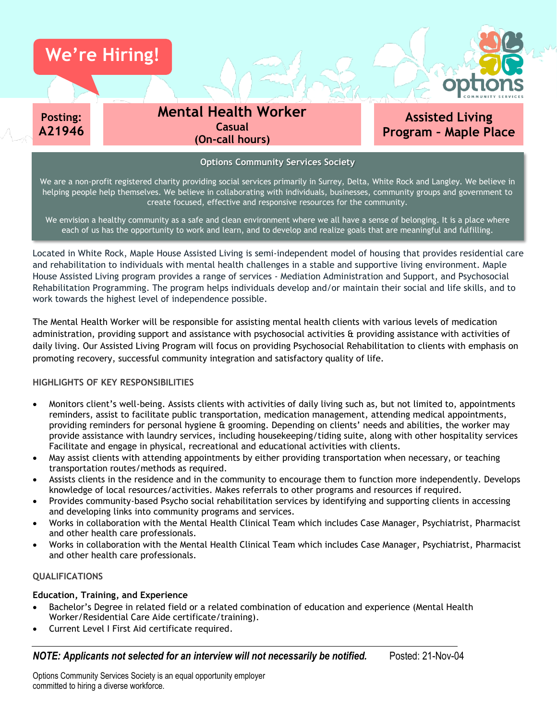

We envision a healthy community as a safe and clean environment where we all have a sense of belonging. It is a place where each of us has the opportunity to work and learn, and to develop and realize goals that are meaningful and fulfilling.

create focused, effective and responsive resources for the community.

Located in White Rock, Maple House Assisted Living is semi-independent model of housing that provides residential care and rehabilitation to individuals with mental health challenges in a stable and supportive living environment. Maple House Assisted Living program provides a range of services - Mediation Administration and Support, and Psychosocial Rehabilitation Programming. The program helps individuals develop and/or maintain their social and life skills, and to work towards the highest level of independence possible.

The Mental Health Worker will be responsible for assisting mental health clients with various levels of medication administration, providing support and assistance with psychosocial activities & providing assistance with activities of daily living. Our Assisted Living Program will focus on providing Psychosocial Rehabilitation to clients with emphasis on promoting recovery, successful community integration and satisfactory quality of life.

## **HIGHLIGHTS OF KEY RESPONSIBILITIES**

- Monitors client's well-being. Assists clients with activities of daily living such as, but not limited to, appointments reminders, assist to facilitate public transportation, medication management, attending medical appointments, providing reminders for personal hygiene & grooming. Depending on clients' needs and abilities, the worker may provide assistance with laundry services, including housekeeping/tiding suite, along with other hospitality services Facilitate and engage in physical, recreational and educational activities with clients.
- May assist clients with attending appointments by either providing transportation when necessary, or teaching transportation routes/methods as required.
- Assists clients in the residence and in the community to encourage them to function more independently. Develops knowledge of local resources/activities. Makes referrals to other programs and resources if required.
- Provides community-based Psycho social rehabilitation services by identifying and supporting clients in accessing and developing links into community programs and services.
- Works in collaboration with the Mental Health Clinical Team which includes Case Manager, Psychiatrist, Pharmacist and other health care professionals.
- Works in collaboration with the Mental Health Clinical Team which includes Case Manager, Psychiatrist, Pharmacist and other health care professionals.

## **QUALIFICATIONS**

# **Education, Training, and Experience**

- Bachelor's Degree in related field or a related combination of education and experience (Mental Health Worker/Residential Care Aide certificate/training).
- Current Level I First Aid certificate required.

*NOTE: Applicants not selected for an interview will not necessarily be notified.* Posted: 21-Nov-04

Options Community Services Society is an equal opportunity employer committed to hiring a diverse workforce.